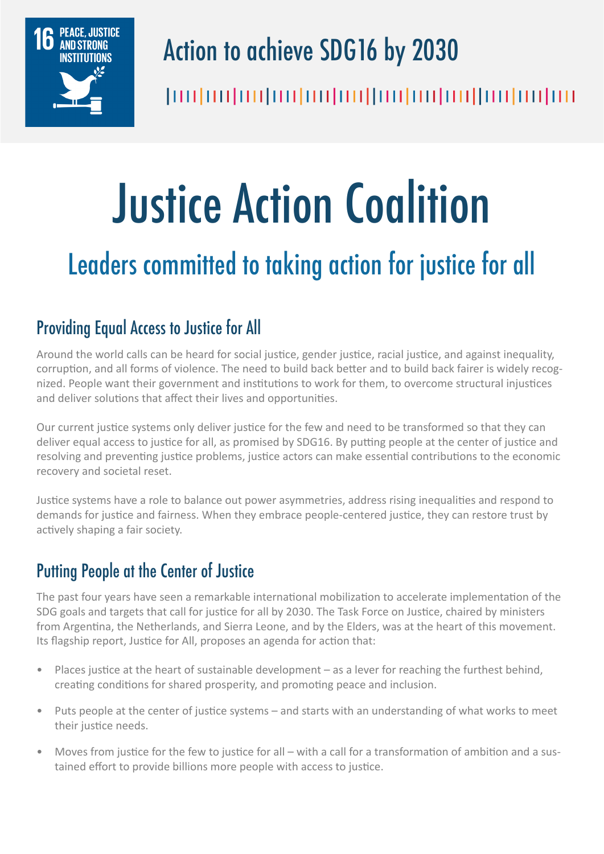

# Action to achieve SDG16 by 2030

# Justice Action Coalition

# Leaders committed to taking action for justice for all

# Providing Equal Access to Justice for All

Around the world calls can be heard for social justice, gender justice, racial justice, and against inequality, corruption, and all forms of violence. The need to build back better and to build back fairer is widely recognized. People want their government and institutions to work for them, to overcome structural injustices and deliver solutions that affect their lives and opportunities.

Our current justice systems only deliver justice for the few and need to be transformed so that they can deliver equal access to justice for all, as promised by SDG16. By putting people at the center of justice and resolving and preventing justice problems, justice actors can make essential contributions to the economic recovery and societal reset.

Justice systems have a role to balance out power asymmetries, address rising inequalities and respond to demands for justice and fairness. When they embrace people-centered justice, they can restore trust by actively shaping a fair society.

# Putting People at the Center of Justice

The past four years have seen a remarkable international mobilization to accelerate implementation of the SDG goals and targets that call for justice for all by 2030. The Task Force on Justice, chaired by ministers from Argentina, the Netherlands, and Sierra Leone, and by the Elders, was at the heart of this movement. Its flagship report, Justice for All, proposes an agenda for action that:

- Places justice at the heart of sustainable development as a lever for reaching the furthest behind, creating conditions for shared prosperity, and promoting peace and inclusion.
- Puts people at the center of justice systems and starts with an understanding of what works to meet their justice needs.
- Moves from justice for the few to justice for all with a call for a transformation of ambition and a sustained effort to provide billions more people with access to justice.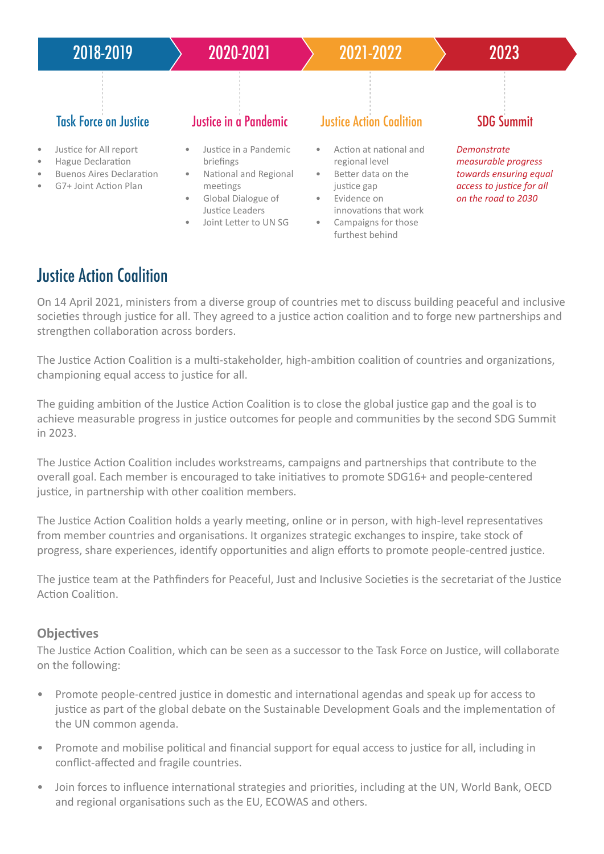

## Justice Action Coalition

On 14 April 2021, ministers from a diverse group of countries met to discuss building peaceful and inclusive societies through justice for all. They agreed to a justice action coalition and to forge new partnerships and strengthen collaboration across borders.

The Justice Action Coalition is a multi-stakeholder, high-ambition coalition of countries and organizations, championing equal access to justice for all.

The guiding ambition of the Justice Action Coalition is to close the global justice gap and the goal is to achieve measurable progress in justice outcomes for people and communities by the second SDG Summit in 2023.

The Justice Action Coalition includes workstreams, campaigns and partnerships that contribute to the overall goal. Each member is encouraged to take initiatives to promote SDG16+ and people-centered justice, in partnership with other coalition members.

The Justice Action Coalition holds a yearly meeting, online or in person, with high-level representatives from member countries and organisations. It organizes strategic exchanges to inspire, take stock of progress, share experiences, identify opportunities and align efforts to promote people-centred justice.

The justice team at the Pathfinders for Peaceful, Just and Inclusive Societies is the secretariat of the Justice Action Coalition.

#### **Objectives**

The Justice Action Coalition, which can be seen as a successor to the Task Force on Justice, will collaborate on the following:

- Promote people-centred justice in domestic and international agendas and speak up for access to justice as part of the global debate on the Sustainable Development Goals and the implementation of the UN common agenda.
- Promote and mobilise political and financial support for equal access to justice for all, including in conflict-affected and fragile countries.
- Join forces to influence international strategies and priorities, including at the UN, World Bank, OECD and regional organisations such as the EU, ECOWAS and others.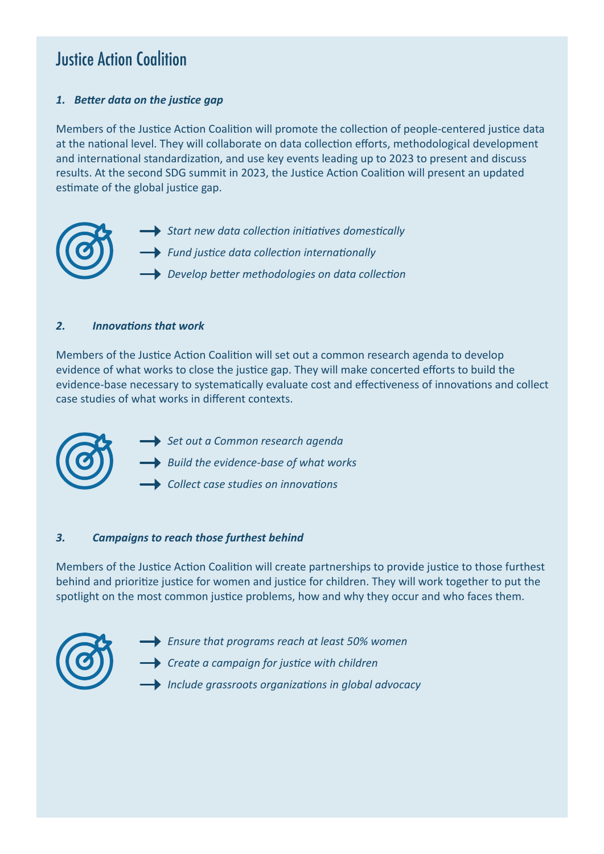### Justice Action Coalition

#### *1. Better data on the justice gap*

Members of the Justice Action Coalition will promote the collection of people-centered justice data at the national level. They will collaborate on data collection efforts, methodological development and international standardization, and use key events leading up to 2023 to present and discuss results. At the second SDG summit in 2023, the Justice Action Coalition will present an updated estimate of the global justice gap.

*Start new data collection initiatives domestically Fund justice data collection internationally Develop better methodologies on data collection*

#### *2. Innovations that work*

Members of the Justice Action Coalition will set out a common research agenda to develop evidence of what works to close the justice gap. They will make concerted efforts to build the evidence-base necessary to systematically evaluate cost and effectiveness of innovations and collect case studies of what works in different contexts.



- *Set out a Common research agenda*
- *Build the evidence-base of what works*
- *Collect case studies on innovations*

#### *3. Campaigns to reach those furthest behind*

Members of the Justice Action Coalition will create partnerships to provide justice to those furthest behind and prioritize justice for women and justice for children. They will work together to put the spotlight on the most common justice problems, how and why they occur and who faces them.



- *Ensure that programs reach at least 50% women*
- *Create a campaign for justice with children*
- *Include grassroots organizations in global advocacy*